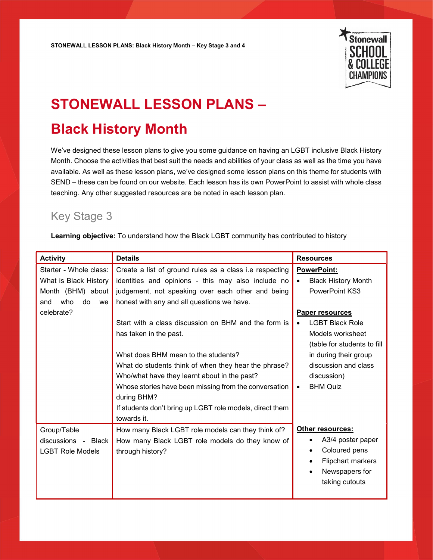

## STONEWALL LESSON PLANS –

## Black History Month

We've designed these lesson plans to give you some guidance on having an LGBT inclusive Black History Month. Choose the activities that best suit the needs and abilities of your class as well as the time you have available. As well as these lesson plans, we've designed some lesson plans on this theme for students with SEND – these can be found on our website. Each lesson has its own PowerPoint to assist with whole class teaching. Any other suggested resources are be noted in each lesson plan.

## Key Stage 3

Learning objective: To understand how the Black LGBT community has contributed to history

| <b>Activity</b>         | <b>Details</b>                                           | <b>Resources</b>               |
|-------------------------|----------------------------------------------------------|--------------------------------|
| Starter - Whole class:  | Create a list of ground rules as a class i.e respecting  | PowerPoint:                    |
| What is Black History   | identities and opinions - this may also include no       | <b>Black History Month</b>     |
| Month (BHM) about       | judgement, not speaking over each other and being        | <b>PowerPoint KS3</b>          |
| who<br>do<br>and<br>we  | honest with any and all questions we have.               |                                |
| celebrate?              |                                                          | <b>Paper resources</b>         |
|                         | Start with a class discussion on BHM and the form is     | <b>LGBT Black Role</b>         |
|                         | has taken in the past.                                   | Models worksheet               |
|                         |                                                          | (table for students to fill    |
|                         | What does BHM mean to the students?                      | in during their group          |
|                         | What do students think of when they hear the phrase?     | discussion and class           |
|                         | Who/what have they learnt about in the past?             | discussion)                    |
|                         | Whose stories have been missing from the conversation    | <b>BHM Quiz</b><br>$\bullet$   |
|                         | during BHM?                                              |                                |
|                         | If students don't bring up LGBT role models, direct them |                                |
|                         | towards it.                                              |                                |
| Group/Table             | How many Black LGBT role models can they think of?       | Other resources:               |
| discussions - Black     | How many Black LGBT role models do they know of          | A3/4 poster paper<br>$\bullet$ |
| <b>LGBT Role Models</b> | through history?                                         | Coloured pens<br>$\bullet$     |
|                         |                                                          | Flipchart markers<br>$\bullet$ |
|                         |                                                          | Newspapers for<br>$\bullet$    |
|                         |                                                          | taking cutouts                 |
|                         |                                                          |                                |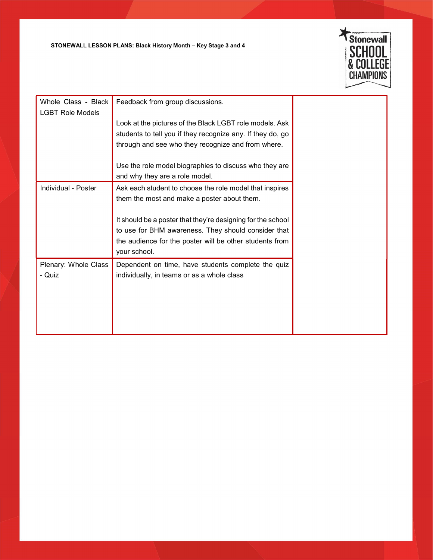STONEWALL LESSON PLANS: Black History Month – Key Stage 3 and 4



| Whole Class - Black<br><b>LGBT Role Models</b> | Feedback from group discussions.                            |  |
|------------------------------------------------|-------------------------------------------------------------|--|
|                                                | Look at the pictures of the Black LGBT role models. Ask     |  |
|                                                | students to tell you if they recognize any. If they do, go  |  |
|                                                | through and see who they recognize and from where.          |  |
|                                                |                                                             |  |
|                                                | Use the role model biographies to discuss who they are      |  |
|                                                | and why they are a role model.                              |  |
| Individual - Poster                            | Ask each student to choose the role model that inspires     |  |
|                                                | them the most and make a poster about them.                 |  |
|                                                |                                                             |  |
|                                                | It should be a poster that they're designing for the school |  |
|                                                | to use for BHM awareness. They should consider that         |  |
|                                                | the audience for the poster will be other students from     |  |
|                                                | your school.                                                |  |
|                                                |                                                             |  |
| Plenary: Whole Class                           | Dependent on time, have students complete the quiz          |  |
| - Quiz                                         | individually, in teams or as a whole class                  |  |
|                                                |                                                             |  |
|                                                |                                                             |  |
|                                                |                                                             |  |
|                                                |                                                             |  |
|                                                |                                                             |  |
|                                                |                                                             |  |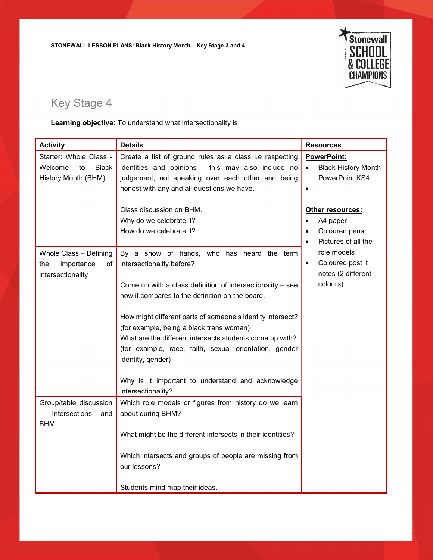STONEWALL LESSON PLANS: Black History Month – Key Stage 3 and 4



## Key Stage 4

Learning objective: To understand what intersectionality is

| <b>Activity</b>                                                                | <b>Details</b>                                                                                                                                                                                                                                                                                                                                                                                                                                                                                    | <b>Resources</b>                                                                      |
|--------------------------------------------------------------------------------|---------------------------------------------------------------------------------------------------------------------------------------------------------------------------------------------------------------------------------------------------------------------------------------------------------------------------------------------------------------------------------------------------------------------------------------------------------------------------------------------------|---------------------------------------------------------------------------------------|
| Starter: Whole Class -<br>Welcome<br><b>Black</b><br>to<br>History Month (BHM) | Create a list of ground rules as a class i.e respecting<br>identities and opinions - this may also include no<br>judgement, not speaking over each other and being<br>honest with any and all questions we have.                                                                                                                                                                                                                                                                                  | PowerPoint:<br><b>Black History Month</b><br>$\bullet$<br>PowerPoint KS4<br>$\bullet$ |
|                                                                                | Class discussion on BHM.<br>Why do we celebrate it?<br>How do we celebrate it?                                                                                                                                                                                                                                                                                                                                                                                                                    | <b>Other resources:</b><br>A4 paper<br>Coloured pens<br>Pictures of all the           |
| Whole Class - Defining<br>importance<br>the<br>οf<br>intersectionality         | By a show of hands, who has heard the term<br>intersectionality before?<br>Come up with a class definition of intersectionality - see<br>how it compares to the definition on the board.<br>How might different parts of someone's identity intersect?<br>(for example, being a black trans woman)<br>What are the different intersects students come up with?<br>(for example, race, faith, sexual orientation, gender<br>identity, gender)<br>Why is it important to understand and acknowledge | role models<br>Coloured post it<br>$\bullet$<br>notes (2 different<br>colours)        |
| Group/table discussion<br>Intersections<br>and<br><b>BHM</b>                   | intersectionality?<br>Which role models or figures from history do we learn<br>about during BHM?                                                                                                                                                                                                                                                                                                                                                                                                  |                                                                                       |
|                                                                                | What might be the different intersects in their identities?<br>Which intersects and groups of people are missing from<br>our lessons?<br>Students mind map their ideas.                                                                                                                                                                                                                                                                                                                           |                                                                                       |